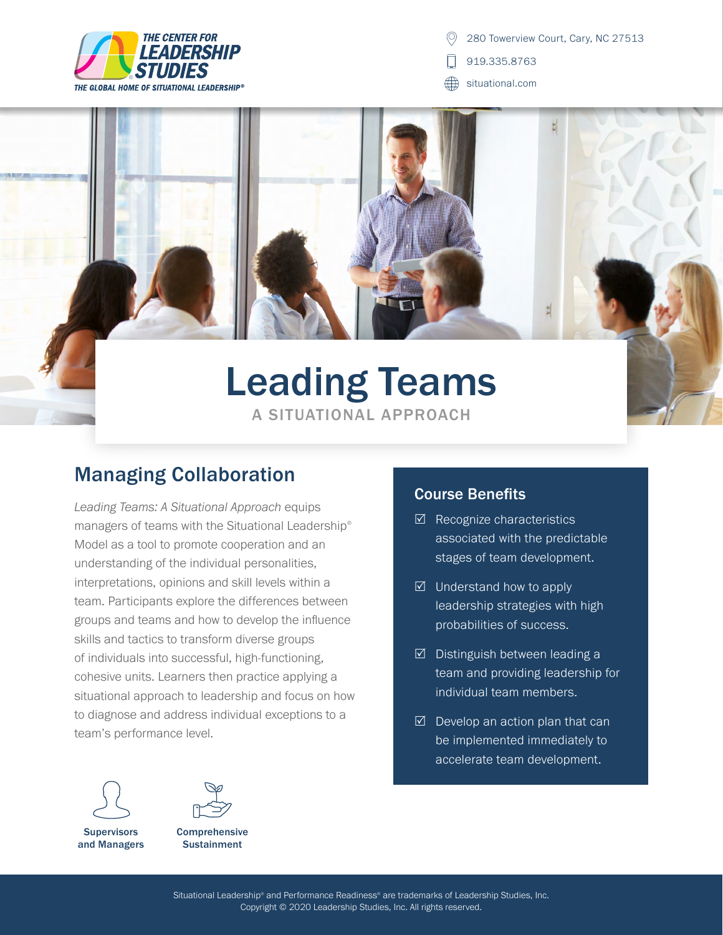

280 Towerview Court, Cary, NC 27513

- 919.335.8763
- ∰ situational.com

# Leading Teams A SITUATIONAL APPROACH

### Managing Collaboration

*Leading Teams: A Situational Approach* equips managers of teams with the Situational Leadership® Model as a tool to promote cooperation and an understanding of the individual personalities, interpretations, opinions and skill levels within a team. Participants explore the differences between groups and teams and how to develop the influence skills and tactics to transform diverse groups of individuals into successful, high-functioning, cohesive units. Learners then practice applying a situational approach to leadership and focus on how to diagnose and address individual exceptions to a team's performance level.





Comprehensive **Sustainment** 

#### Course Benefits

- $\boxtimes$  Recognize characteristics associated with the predictable stages of team development.
- $\boxtimes$  Understand how to apply leadership strategies with high probabilities of success.
- $\boxtimes$  Distinguish between leading a team and providing leadership for individual team members.
- $\boxtimes$  Develop an action plan that can be implemented immediately to accelerate team development.